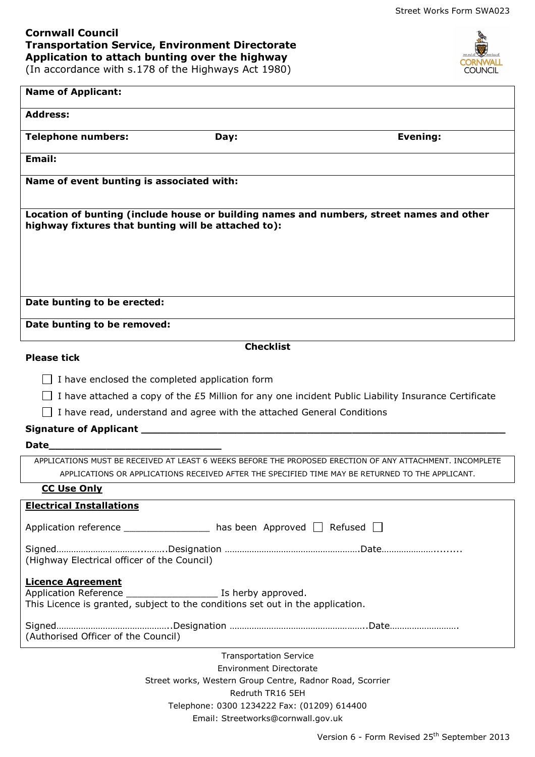OUNCIL.

## **Cornwall Council Transportation Service, Environment Directorate Application to attach bunting over the highway**

(In accordance with s.178 of the Highways Act 1980)

| <b>Name of Applicant:</b>                                                                                                                                                                                                      |
|--------------------------------------------------------------------------------------------------------------------------------------------------------------------------------------------------------------------------------|
| <b>Address:</b>                                                                                                                                                                                                                |
|                                                                                                                                                                                                                                |
| <b>Telephone numbers:</b><br>Evening:<br>Day:                                                                                                                                                                                  |
| Email:                                                                                                                                                                                                                         |
| Name of event bunting is associated with:                                                                                                                                                                                      |
| Location of bunting (include house or building names and numbers, street names and other<br>highway fixtures that bunting will be attached to):                                                                                |
| Date bunting to be erected:                                                                                                                                                                                                    |
| Date bunting to be removed:                                                                                                                                                                                                    |
| <b>Checklist</b>                                                                                                                                                                                                               |
| <b>Please tick</b>                                                                                                                                                                                                             |
| I have enclosed the completed application form                                                                                                                                                                                 |
|                                                                                                                                                                                                                                |
| I have attached a copy of the £5 Million for any one incident Public Liability Insurance Certificate                                                                                                                           |
| I have read, understand and agree with the attached General Conditions                                                                                                                                                         |
|                                                                                                                                                                                                                                |
| Date and the contract of the contract of the contract of the contract of the contract of the contract of the contract of the contract of the contract of the contract of the contract of the contract of the contract of the c |
| APPLICATIONS MUST BE RECEIVED AT LEAST 6 WEEKS BEFORE THE PROPOSED ERECTION OF ANY ATTACHMENT. INCOMPLETE<br>APPLICATIONS OR APPLICATIONS RECEIVED AFTER THE SPECIFIED TIME MAY BE RETURNED TO THE APPLICANT.                  |
| <b>CC Use Only</b>                                                                                                                                                                                                             |
| <b>Electrical Installations</b>                                                                                                                                                                                                |
| Application reference ______________________ has been Approved $\Box$ Refused $\Box$                                                                                                                                           |
| (Highway Electrical officer of the Council)                                                                                                                                                                                    |
| <b>Licence Agreement</b><br>Application Reference ____________________________ Is herby approved.<br>This Licence is granted, subject to the conditions set out in the application.                                            |
| (Authorised Officer of the Council)                                                                                                                                                                                            |
| <b>Transportation Service</b>                                                                                                                                                                                                  |
| <b>Environment Directorate</b>                                                                                                                                                                                                 |

Street works, Western Group Centre, Radnor Road, Scorrier Redruth TR16 5EH Telephone: 0300 1234222 Fax: (01209) 614400 Email: Streetworks@cornwall.gov.uk